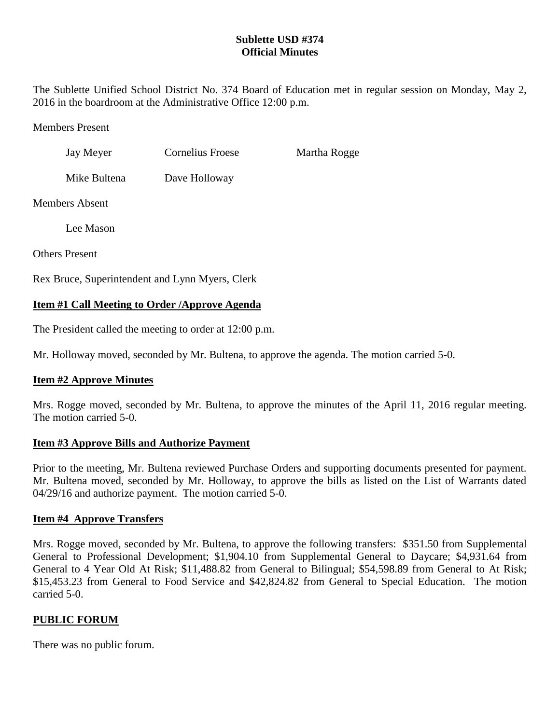# **Sublette USD #374 Official Minutes**

The Sublette Unified School District No. 374 Board of Education met in regular session on Monday, May 2, 2016 in the boardroom at the Administrative Office 12:00 p.m.

Members Present

| Jay Meyer | Cornelius Froese | Martha Rogge |
|-----------|------------------|--------------|
|           |                  |              |

Mike Bultena Dave Holloway

Members Absent

Lee Mason

Others Present

Rex Bruce, Superintendent and Lynn Myers, Clerk

# **Item #1 Call Meeting to Order /Approve Agenda**

The President called the meeting to order at 12:00 p.m.

Mr. Holloway moved, seconded by Mr. Bultena, to approve the agenda. The motion carried 5-0.

# **Item #2 Approve Minutes**

Mrs. Rogge moved, seconded by Mr. Bultena, to approve the minutes of the April 11, 2016 regular meeting. The motion carried 5-0.

## **Item #3 Approve Bills and Authorize Payment**

Prior to the meeting, Mr. Bultena reviewed Purchase Orders and supporting documents presented for payment. Mr. Bultena moved, seconded by Mr. Holloway, to approve the bills as listed on the List of Warrants dated 04/29/16 and authorize payment. The motion carried 5-0.

# **Item #4 Approve Transfers**

Mrs. Rogge moved, seconded by Mr. Bultena, to approve the following transfers: \$351.50 from Supplemental General to Professional Development; \$1,904.10 from Supplemental General to Daycare; \$4,931.64 from General to 4 Year Old At Risk; \$11,488.82 from General to Bilingual; \$54,598.89 from General to At Risk; \$15,453.23 from General to Food Service and \$42,824.82 from General to Special Education. The motion carried 5-0.

# **PUBLIC FORUM**

There was no public forum.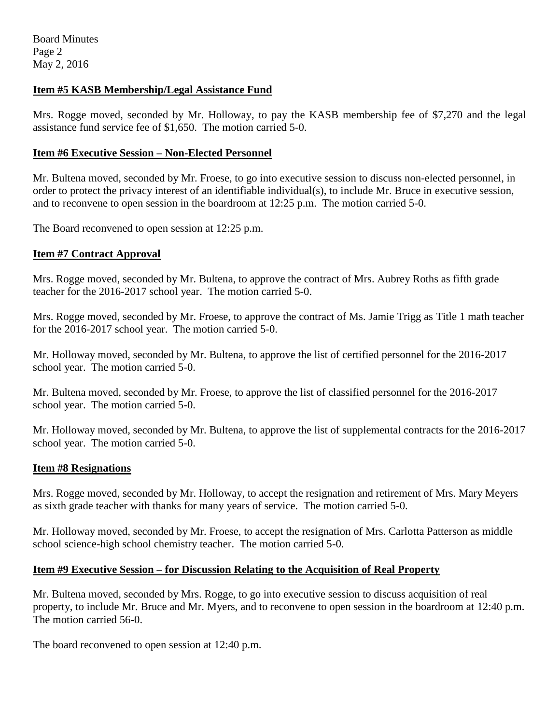# **Item #5 KASB Membership/Legal Assistance Fund**

Mrs. Rogge moved, seconded by Mr. Holloway, to pay the KASB membership fee of \$7,270 and the legal assistance fund service fee of \$1,650. The motion carried 5-0.

### **Item #6 Executive Session – Non-Elected Personnel**

Mr. Bultena moved, seconded by Mr. Froese, to go into executive session to discuss non-elected personnel, in order to protect the privacy interest of an identifiable individual(s), to include Mr. Bruce in executive session, and to reconvene to open session in the boardroom at 12:25 p.m. The motion carried 5-0.

The Board reconvened to open session at 12:25 p.m.

## **Item #7 Contract Approval**

Mrs. Rogge moved, seconded by Mr. Bultena, to approve the contract of Mrs. Aubrey Roths as fifth grade teacher for the 2016-2017 school year. The motion carried 5-0.

Mrs. Rogge moved, seconded by Mr. Froese, to approve the contract of Ms. Jamie Trigg as Title 1 math teacher for the 2016-2017 school year. The motion carried 5-0.

Mr. Holloway moved, seconded by Mr. Bultena, to approve the list of certified personnel for the 2016-2017 school year. The motion carried 5-0.

Mr. Bultena moved, seconded by Mr. Froese, to approve the list of classified personnel for the 2016-2017 school year. The motion carried 5-0.

Mr. Holloway moved, seconded by Mr. Bultena, to approve the list of supplemental contracts for the 2016-2017 school year. The motion carried 5-0.

## **Item #8 Resignations**

Mrs. Rogge moved, seconded by Mr. Holloway, to accept the resignation and retirement of Mrs. Mary Meyers as sixth grade teacher with thanks for many years of service. The motion carried 5-0.

Mr. Holloway moved, seconded by Mr. Froese, to accept the resignation of Mrs. Carlotta Patterson as middle school science-high school chemistry teacher. The motion carried 5-0.

## **Item #9 Executive Session – for Discussion Relating to the Acquisition of Real Property**

Mr. Bultena moved, seconded by Mrs. Rogge, to go into executive session to discuss acquisition of real property, to include Mr. Bruce and Mr. Myers, and to reconvene to open session in the boardroom at 12:40 p.m. The motion carried 56-0.

The board reconvened to open session at 12:40 p.m.